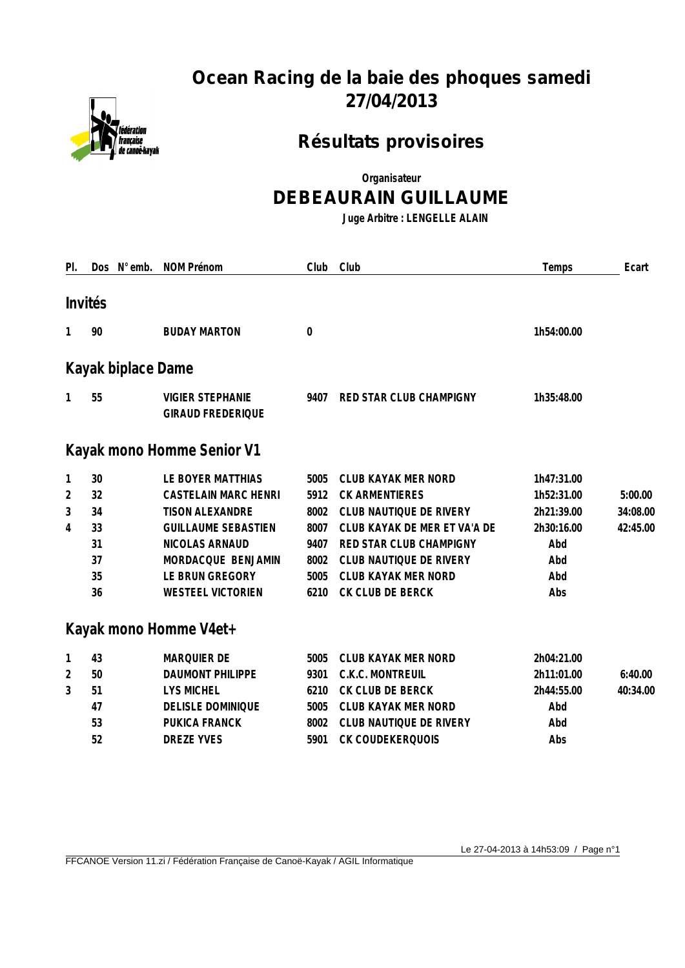

# **Ocean Racing de la baie des phoques samedi 27/04/2013**

## **Résultats provisoires**

**Organisateur**

#### **DEBEAURAIN GUILLAUME**

**Juge Arbitre : LENGELLE ALAIN**

| PI.            | Dos N° emb.        | <b>NOM Prénom</b>                                   | Club         | Club                           | Temps      | Ecart    |
|----------------|--------------------|-----------------------------------------------------|--------------|--------------------------------|------------|----------|
|                | Invités            |                                                     |              |                                |            |          |
|                |                    |                                                     |              |                                |            |          |
| 1              | 90                 | <b>BUDAY MARTON</b>                                 | $\mathbf{0}$ |                                | 1h54:00.00 |          |
|                | Kayak biplace Dame |                                                     |              |                                |            |          |
| 1              | 55                 | <b>VIGIER STEPHANIE</b><br><b>GIRAUD FREDERIQUE</b> | 9407         | RED STAR CLUB CHAMPIGNY        | 1h35:48.00 |          |
|                |                    | Kayak mono Homme Senior V1                          |              |                                |            |          |
| 1              | 30                 | LE BOYER MATTHIAS                                   | 5005         | <b>CLUB KAYAK MER NORD</b>     | 1h47:31.00 |          |
| $\overline{2}$ | 32                 | <b>CASTELAIN MARC HENRI</b>                         | 5912         | <b>CK ARMENTIERES</b>          | 1h52:31.00 | 5:00.00  |
| 3              | 34                 | <b>TISON ALEXANDRE</b>                              | 8002         | CLUB NAUTIQUE DE RIVERY        | 2h21:39.00 | 34:08.00 |
| 4              | 33                 | <b>GUILLAUME SEBASTIEN</b>                          | 8007         | CLUB KAYAK DE MER ET VA'A DE   | 2h30:16.00 | 42:45.00 |
|                | 31                 | NICOLAS ARNAUD                                      | 9407         | RED STAR CLUB CHAMPIGNY        | Abd        |          |
|                | 37                 | MORDACQUE BENJAMIN                                  | 8002         | <b>CLUB NAUTIQUE DE RIVERY</b> | Abd        |          |
|                | 35                 | LE BRUN GREGORY                                     | 5005         | <b>CLUB KAYAK MER NORD</b>     | Abd        |          |
|                | 36                 | <b>WESTEEL VICTORIEN</b>                            | 6210         | CK CLUB DE BERCK               | Abs        |          |
|                |                    | Kayak mono Homme V4et+                              |              |                                |            |          |
| $\mathbf{1}$   | 43                 | <b>MARQUIER DE</b>                                  | 5005         | <b>CLUB KAYAK MER NORD</b>     | 2h04:21.00 |          |
| 2              | 50                 | <b>DAUMONT PHILIPPE</b>                             | 9301         | C.K.C. MONTREUIL               | 2h11:01.00 | 6:40.00  |
| 3              | 51                 | <b>LYS MICHEL</b>                                   | 6210         | CK CLUB DE BERCK               | 2h44:55.00 | 40:34.00 |
|                | 47                 | DELISLE DOMINIQUE                                   | 5005         | CLUB KAYAK MER NORD            | Abd        |          |
|                | 53                 | PUKICA FRANCK                                       | 8002         | CLUB NAUTIQUE DE RIVERY        | Abd        |          |
|                | 52                 | <b>DREZE YVES</b>                                   | 5901         | CK COUDEKERQUOIS               | Abs        |          |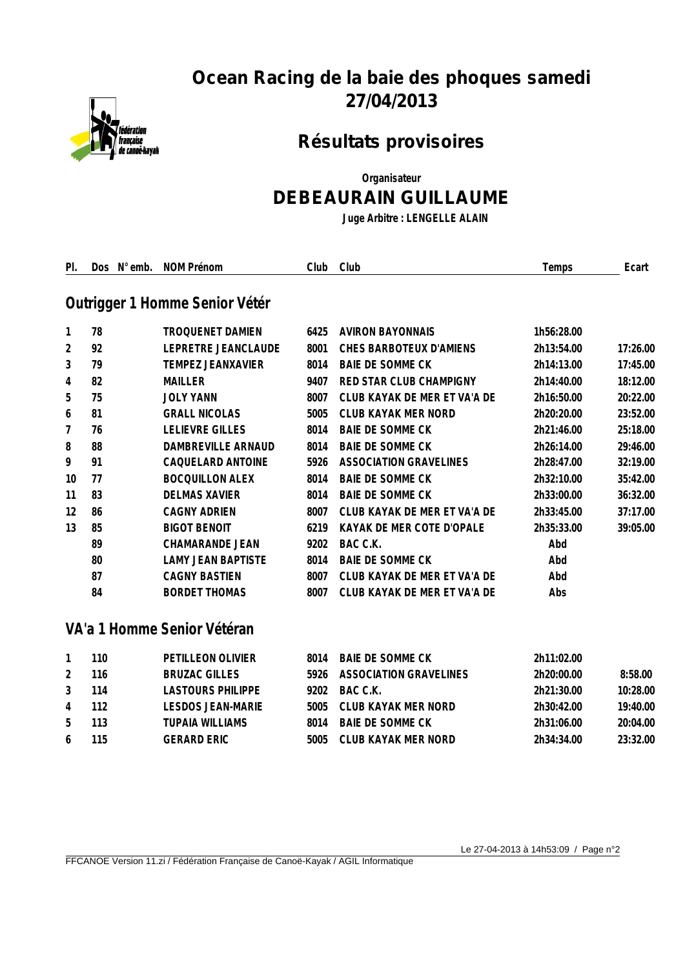

# **Ocean Racing de la baie des phoques samedi 27/04/2013**

## **Résultats provisoires**

**Organisateur**

### **DEBEAURAIN GUILLAUME**

**Juge Arbitre : LENGELLE ALAIN**

| PI.            | Dos N° emb. | NOM Prénom                     | Club | Club                          | Temps      | Ecart    |
|----------------|-------------|--------------------------------|------|-------------------------------|------------|----------|
|                |             | Outrigger 1 Homme Senior Vétér |      |                               |            |          |
| 1              | 78          | <b>TROQUENET DAMIEN</b>        | 6425 | <b>AVIRON BAYONNAIS</b>       | 1h56:28.00 |          |
| $\overline{2}$ | 92          | LEPRETRE JEANCLAUDE            | 8001 | CHES BARBOTEUX D'AMIENS       | 2h13:54.00 | 17:26.00 |
| 3              | 79          | <b>TEMPEZ JEANXAVIER</b>       | 8014 | <b>BAIE DE SOMME CK</b>       | 2h14:13.00 | 17:45.00 |
| 4              | 82          | <b>MAILLER</b>                 | 9407 | RED STAR CLUB CHAMPIGNY       | 2h14:40.00 | 18:12.00 |
| 5              | 75          | <b>JOLY YANN</b>               | 8007 | CLUB KAYAK DE MER ET VA'A DE  | 2h16:50.00 | 20:22.00 |
| 6              | 81          | <b>GRALL NICOLAS</b>           | 5005 | <b>CLUB KAYAK MER NORD</b>    | 2h20:20.00 | 23:52.00 |
| 7              | 76          | <b>LELIEVRE GILLES</b>         | 8014 | <b>BAIE DE SOMME CK</b>       | 2h21:46.00 | 25:18.00 |
| 8              | 88          | DAMBREVILLE ARNAUD             | 8014 | <b>BAIE DE SOMME CK</b>       | 2h26:14.00 | 29:46.00 |
| 9              | 91          | CAQUELARD ANTOINE              | 5926 | <b>ASSOCIATION GRAVELINES</b> | 2h28:47.00 | 32:19.00 |
| 10             | 77          | <b>BOCQUILLON ALEX</b>         | 8014 | <b>BAIE DE SOMME CK</b>       | 2h32:10.00 | 35:42.00 |
| 11             | 83          | <b>DELMAS XAVIER</b>           | 8014 | <b>BAIE DE SOMME CK</b>       | 2h33:00.00 | 36:32.00 |
| 12             | 86          | <b>CAGNY ADRIEN</b>            | 8007 | CLUB KAYAK DE MER ET VA'A DE  | 2h33:45.00 | 37:17.00 |
| 13             | 85          | <b>BIGOT BENOIT</b>            | 6219 | KAYAK DE MER COTE D'OPALE     | 2h35:33.00 | 39:05.00 |
|                | 89          | <b>CHAMARANDE JEAN</b>         | 9202 | BAC C.K.                      | Abd        |          |
|                | 80          | <b>LAMY JEAN BAPTISTE</b>      | 8014 | <b>BAIE DE SOMME CK</b>       | Abd        |          |
|                | 87          | <b>CAGNY BASTIEN</b>           | 8007 | CLUB KAYAK DE MER ET VA'A DE  | Abd        |          |
|                | 84          | <b>BORDET THOMAS</b>           | 8007 | CLUB KAYAK DE MER ET VA'A DE  | Abs        |          |
|                |             | VA'a 1 Homme Senior Vétéran    |      |                               |            |          |
| 1              | 110         | PETILLEON OLIVIER              | 8014 | <b>BAIE DE SOMME CK</b>       | 2h11:02.00 |          |
| 2              | 116         | <b>BRUZAC GILLES</b>           | 5926 | <b>ASSOCIATION GRAVELINES</b> | 2h20:00.00 | 8:58.00  |
| 3              | 114         | <b>LASTOURS PHILIPPE</b>       | 9202 | BAC C.K.                      | 2h21:30.00 | 10:28.00 |
| 4              | 112         | <b>LESDOS JEAN-MARIE</b>       | 5005 | CLUB KAYAK MER NORD           | 2h30:42.00 | 19:40.00 |
| 5              | 113         | <b>TUPAIA WILLIAMS</b>         | 8014 | <b>BAIE DE SOMME CK</b>       | 2h31:06.00 | 20:04.00 |
| 6              | 115         | <b>GERARD ERIC</b>             | 5005 | CLUB KAYAK MER NORD           | 2h34:34.00 | 23:32.00 |